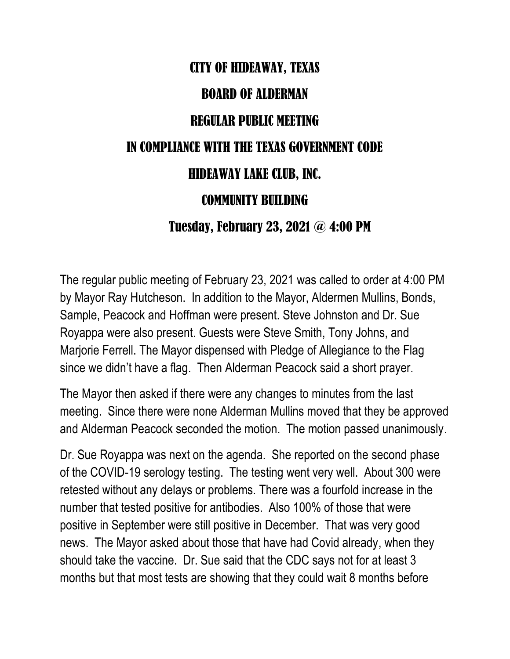## CITY OF HIDEAWAY, TEXAS BOARD OF ALDERMAN REGULAR PUBLIC MEETING IN COMPLIANCE WITH THE TEXAS GOVERNMENT CODE HIDEAWAY LAKE CLUB, INC. COMMUNITY BUILDING Tuesday, February 23, 2021 @ 4:00 PM

The regular public meeting of February 23, 2021 was called to order at 4:00 PM by Mayor Ray Hutcheson. In addition to the Mayor, Aldermen Mullins, Bonds, Sample, Peacock and Hoffman were present. Steve Johnston and Dr. Sue Royappa were also present. Guests were Steve Smith, Tony Johns, and Marjorie Ferrell. The Mayor dispensed with Pledge of Allegiance to the Flag since we didn't have a flag. Then Alderman Peacock said a short prayer.

The Mayor then asked if there were any changes to minutes from the last meeting. Since there were none Alderman Mullins moved that they be approved and Alderman Peacock seconded the motion. The motion passed unanimously.

Dr. Sue Royappa was next on the agenda. She reported on the second phase of the COVID-19 serology testing. The testing went very well. About 300 were retested without any delays or problems. There was a fourfold increase in the number that tested positive for antibodies. Also 100% of those that were positive in September were still positive in December. That was very good news. The Mayor asked about those that have had Covid already, when they should take the vaccine. Dr. Sue said that the CDC says not for at least 3 months but that most tests are showing that they could wait 8 months before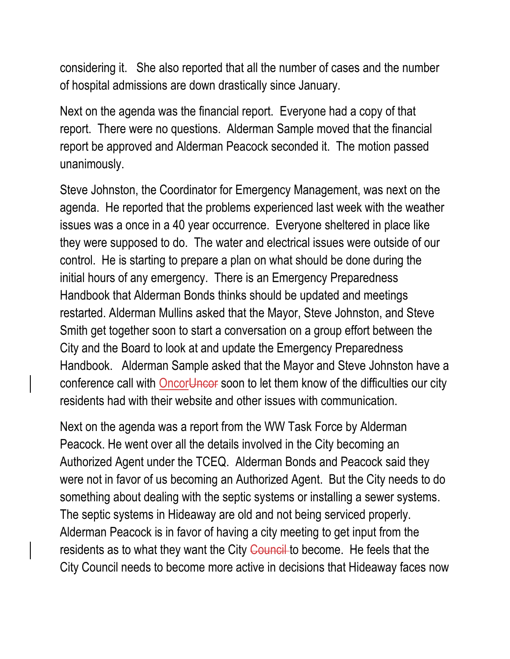considering it. She also reported that all the number of cases and the number of hospital admissions are down drastically since January.

Next on the agenda was the financial report. Everyone had a copy of that report. There were no questions. Alderman Sample moved that the financial report be approved and Alderman Peacock seconded it. The motion passed unanimously.

Steve Johnston, the Coordinator for Emergency Management, was next on the agenda. He reported that the problems experienced last week with the weather issues was a once in a 40 year occurrence. Everyone sheltered in place like they were supposed to do. The water and electrical issues were outside of our control. He is starting to prepare a plan on what should be done during the initial hours of any emergency. There is an Emergency Preparedness Handbook that Alderman Bonds thinks should be updated and meetings restarted. Alderman Mullins asked that the Mayor, Steve Johnston, and Steve Smith get together soon to start a conversation on a group effort between the City and the Board to look at and update the Emergency Preparedness Handbook. Alderman Sample asked that the Mayor and Steve Johnston have a conference call with Oncor<del>Uncor</del> soon to let them know of the difficulties our city residents had with their website and other issues with communication.

Next on the agenda was a report from the WW Task Force by Alderman Peacock. He went over all the details involved in the City becoming an Authorized Agent under the TCEQ. Alderman Bonds and Peacock said they were not in favor of us becoming an Authorized Agent. But the City needs to do something about dealing with the septic systems or installing a sewer systems. The septic systems in Hideaway are old and not being serviced properly. Alderman Peacock is in favor of having a city meeting to get input from the residents as to what they want the City Council to become. He feels that the City Council needs to become more active in decisions that Hideaway faces now